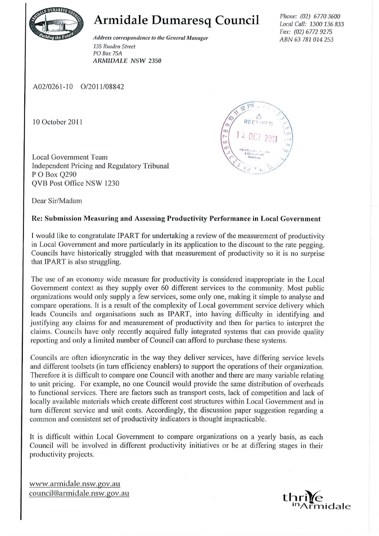

**Armidale Dumaresq Council** 

 $A$ ddress correspondence to the General Manager *135 Rusden Street*  PO *Box 75A ARMIDALE NSW* 2350

Phone: (02) 6770 3600 Local Call: 1300 136 833 Fax: (02) 6772 9275 *ABN* 63781014253

A02/0261-10 0/2011/08842

10 October 201 1

Local Government Team Independent Pricing and Regulatory Tribunal P OBox Q290 QVB Post Office NSW 1230



Dear Sir/Madam

## Re: Submission Measuring and Assessing Productivity Performance in Local Government

1 would like to congratulate IPART for undertaking a review of the measurement of productivity in Local Government and more particularly in its application to the discount to the rate pegging. Councils have historically struggled with that measurement of productivity so it is no surprise that IPART is also struggling.

The use of an economy wide measure for productivity is considered inappropriate in the Local Government context as they supply over 60 different services to the community. Most public organizations would only supply a few services, some only one, making it simple to analyse and compare operations. It is a result of the complexity of Local government service delivery which leads Councils and organisations such as IPART, into having difficulty in identifying and justifying any claims for and measurement of productivity and then for parties to interpret the claims. Councils have only recently acquired fully integrated systems that can provide quality reporting and only a limited number of Council can afford to purchase these systems.

Councils are often idiosyncratic in the way they deliver services, have differing service levels and different toolsets (in turn efficiency enablers) to support the operations of their organization. Therefore it is difficult to compare one Council with another and there are many variable relating to unit pricing. For example, no one Council would provide the same distribution of overheads to functional services. There are factors such as transport costs, lack of competition and lack of locally available materials which create different cost structures within Local Government and in turn different service and unit costs. Accordingly, the discussion paper suggestion regarding a common and consistent set of productivity indicators is thought impracticable.

It is difficult within Local Government to compare organizations on a yearly basis, as each Council will be involved in different productivity initiatives or be at differing stages in their productivity projects.

www.armidale.nsw.gov.au  $council@armiddle.nsw.gov.au$ 

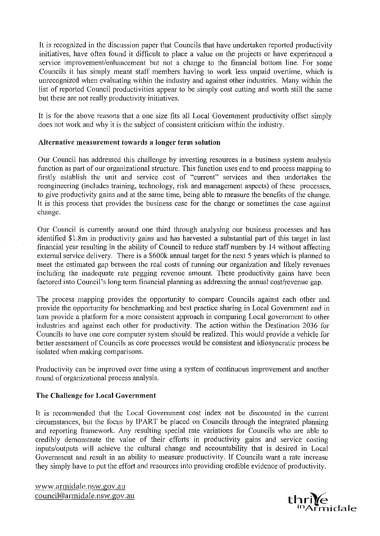It is recognized in the discussion paper that Councils that have undertaken reported productivity initiatives, have often found it difficult to place a value on the projects or have experienced a service improvement/enhancement but not a change to the financial bottom line. For some Councils it has simply meant staff members having to work less unpaid overtime, which is unrecognized when evaluating within the industry and against other industries. Many within the list of reported Council productivities appear to be simply cost cutting and worth still the same but these are not really productivity initiatives.

It is for the above reasons that a one size fits all Local Govemment productivity offset simply does not work and why it is the subject of consistent criticism within the industry.

## Alternative measurement towards a longer term solution

Our Council has addressed this challenge by investing resources in a business system analysis function as part of our organizational structure. This function uses end to end process mapping to firstly establish the unit and service cost of "current" services and then undertakes the reengineering (includes training, technology, risk and management aspects) of these processes, to give productivity gains and at the same time, being able to measure the benefits of the change. It is this process that provides the business case for the change or sometimes the case against change.

Our Council is currently around one third through analysing our business processes and has identified \$1.8m in productivity gains and has harvested a substantial part of this target in last financial year resulting in the ability of Council to reduce staff numbers by 14 without affecting extemal service delivery. There is a \$600k annual target for the next 5 years which is planned to meet the estimated gap between the real costs of running our organization and likely revenues including the inadequate rate pegging revenue amount. These productivity gains have been factored into Council's long term financial planning as addressing the annual cost/revenue gap.

The process mapping provides the opportunity to compare Councils against each other and provide the opportunity for benchmarking and best practice sharing in Local Government and in turn provide a platform for a more consistent approach in comparing Local govemment to other industries and against each other for productivity. The action within the Destination 2036 for Councils to have one core computer system should be realized. This would provide a vehicle for better assessment of Councils as core processes would be consistent and idiosyncratic process be isolated when making comparisons.

Productivity can be improved over time using a system of continuous improvement and another round of organizational process analysis.

## The Challenge for Local Government

It is recommended that the Local Government cost index not be discounted in the cunent circumstances, but the focus by IP ART be placed on Councils through the integrated planning and reporting framework. Any resulting special rate variations for Councils who are able to credibly demonstrate the value of their efforts in productivity gains and service costing inputs/outputs will achieve the cultural change and accountability that is desired in Local Government and result in an ability to measure productivity. If Councils want a rate increase they simply have to put the effort and resources into providing credible evidence of productivity.

www.armidale.nsw.gov.au council@armidale.nsw.gov.au **t:hr¥e**